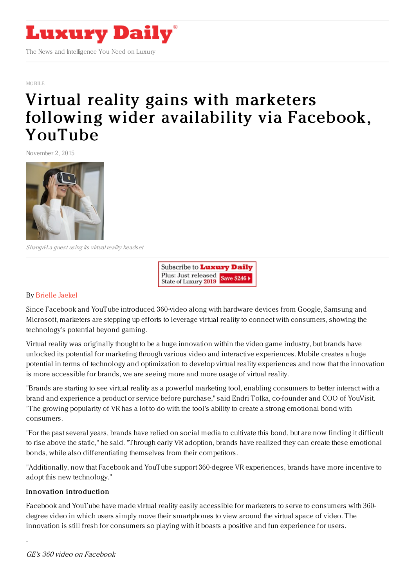

[MOBILE](https://www.luxurydaily.com/category/news/mobile-news/)

# Virtual reality gains with marketers following wider [availability](https://www.luxurydaily.com/virtual-reality-gains-with-marketers-following-wider-availability-via-facebook-youtube/) via Facebook, YouTube

November 2, 2015



Shangri-La guest using its virtual reality headset

Subscribe to Luxury Daily Plus: Just released Save \$246 \ State of Luxury 2019

#### By [Brielle](http://www.mobilemarketer.com/cms/authors/44.html) Jaekel

Since Facebook and YouTube introduced 360-video along with hardware devices from Google, Samsung and Microsoft, marketers are stepping up efforts to leverage virtual reality to connect with consumers, showing the technology's potential beyond gaming.

Virtual reality was originally thought to be a huge innovation within the video game industry, but brands have unlocked its potential for marketing through various video and interactive experiences. Mobile creates a huge potential in terms of technology and optimization to develop virtual reality experiences and now that the innovation is more accessible for brands, we are seeing more and more usage of virtual reality.

"Brands are starting to see virtual reality as a powerful marketing tool, enabling consumers to better interact with a brand and experience a product or service before purchase," said Endri Tolka, co-founder and COO of YouVisit. "The growing popularity of VR has a lot to do with the tool's ability to create a strong emotional bond with consumers.

"For the past several years, brands have relied on social media to cultivate this bond, but are now finding it difficult to rise above the static," he said. "Through early VR adoption, brands have realized they can create these emotional bonds, while also differentiating themselves from their competitors.

"Additionally, now that Facebook and YouTube support 360-degree VR experiences, brands have more incentive to adopt this new technology."

## Innovation introduction

Facebook and YouTube have made virtual reality easily accessible for marketers to serve to consumers with 360 degree video in which users simply move their smartphones to view around the virtual space of video. The innovation is still fresh for consumers so playing with it boasts a positive and fun experience for users.